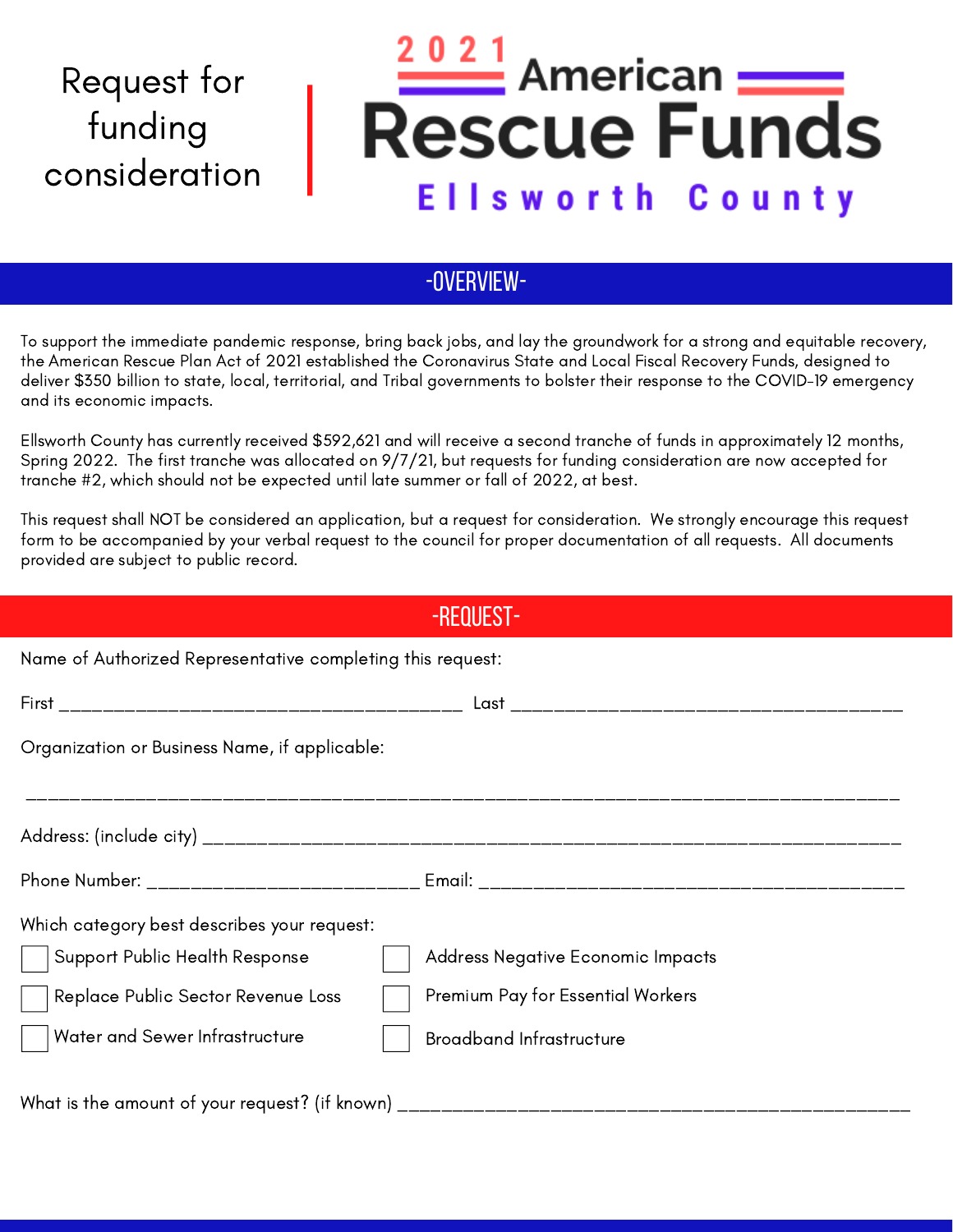## Request for funding consideration

## <u>021</u> American : **Rescue Funds Ellsworth County**

## -OVERVIEW-

To support the immediate pandemic response, bring back jobs, and lay the groundwork for a strong and equitable recovery, the American Rescue Plan Act of 2021 established the Coronavirus State and Local Fiscal Recovery Funds, designed to deliver \$350 billion to state, local, territorial, and Tribal governments to bolster their response to the COVID-19 emergency and its economic impacts.

Ellsworth County has currently received \$592,621 and will receive a second tranche of funds in approximately 12 months, Spring 2022. The first tranche was allocated on 9/7/21, but requests for funding consideration are now accepted for tranche #2, which should not be expected until late summer or fall of 2022, at best.

This request shall NOT be considered an application, but a request for consideration. We strongly encourage this request form to be accompanied by your verbal request to the council for proper documentation of all requests. All documents provided are subject to public record.

| -REQUEST-                                                                        |                                   |
|----------------------------------------------------------------------------------|-----------------------------------|
| Name of Authorized Representative completing this request:                       |                                   |
|                                                                                  |                                   |
| Organization or Business Name, if applicable:                                    |                                   |
|                                                                                  |                                   |
|                                                                                  |                                   |
|                                                                                  |                                   |
| Which category best describes your request:                                      |                                   |
| Support Public Health Response                                                   | Address Negative Economic Impacts |
| Replace Public Sector Revenue Loss                                               | Premium Pay for Essential Workers |
| Water and Sewer Infrastructure                                                   | <b>Broadband Infrastructure</b>   |
| What is the amount of your request? (if known) _________________________________ |                                   |